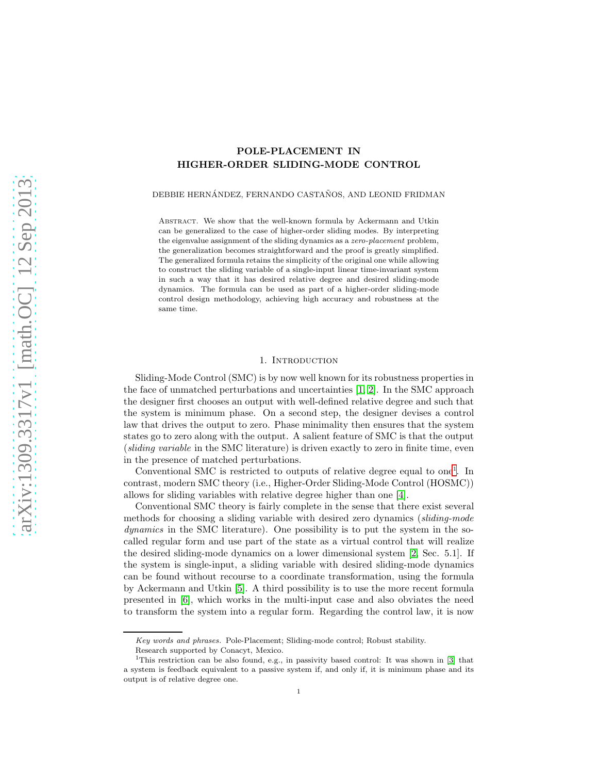# POLE-PLACEMENT IN HIGHER-ORDER SLIDING-MODE CONTROL

DEBBIE HERNÁNDEZ, FERNANDO CASTAÑOS, AND LEONID FRIDMAN

ABSTRACT. We show that the well-known formula by Ackermann and Utkin can be generalized to the case of higher-order sliding modes. By interpreting the eigenvalue assignment of the sliding dynamics as a *zero-placement* problem, the generalization becomes straightforward and the proof is greatly simplified. The generalized formula retains the simplicity of the original one while allowing to construct the sliding variable of a single-input linear time-invariant system in such a way that it has desired relative degree and desired sliding-mode dynamics. The formula can be used as part of a higher-order sliding-mode control design methodology, achieving high accuracy and robustness at the same time.

### 1. INTRODUCTION

Sliding-Mode Control (SMC) is by now well known for its robustness properties in the face of unmatched perturbations and uncertainties [\[1,](#page-10-0) [2\]](#page-10-1). In the SMC approach the designer first chooses an output with well-defined relative degree and such that the system is minimum phase. On a second step, the designer devises a control law that drives the output to zero. Phase minimality then ensures that the system states go to zero along with the output. A salient feature of SMC is that the output (sliding variable in the SMC literature) is driven exactly to zero in finite time, even in the presence of matched perturbations.

Conventional SMC is restricted to outputs of relative degree equal to one<sup>[1](#page-0-0)</sup>. In contrast, modern SMC theory (i.e., Higher-Order Sliding-Mode Control (HOSMC)) allows for sliding variables with relative degree higher than one [\[4\]](#page-10-2).

Conventional SMC theory is fairly complete in the sense that there exist several methods for choosing a sliding variable with desired zero dynamics (sliding-mode dynamics in the SMC literature). One possibility is to put the system in the socalled regular form and use part of the state as a virtual control that will realize the desired sliding-mode dynamics on a lower dimensional system [\[2,](#page-10-1) Sec. 5.1]. If the system is single-input, a sliding variable with desired sliding-mode dynamics can be found without recourse to a coordinate transformation, using the formula by Ackermann and Utkin [\[5\]](#page-10-3). A third possibility is to use the more recent formula presented in [\[6\]](#page-10-4), which works in the multi-input case and also obviates the need to transform the system into a regular form. Regarding the control law, it is now

*Key words and phrases.* Pole-Placement; Sliding-mode control; Robust stability.

<span id="page-0-0"></span>Research supported by Conacyt, Mexico.

<sup>&</sup>lt;sup>1</sup>This restriction can be also found, e.g., in passivity based control: It was shown in [\[3\]](#page-10-5) that a system is feedback equivalent to a passive system if, and only if, it is minimum phase and its output is of relative degree one.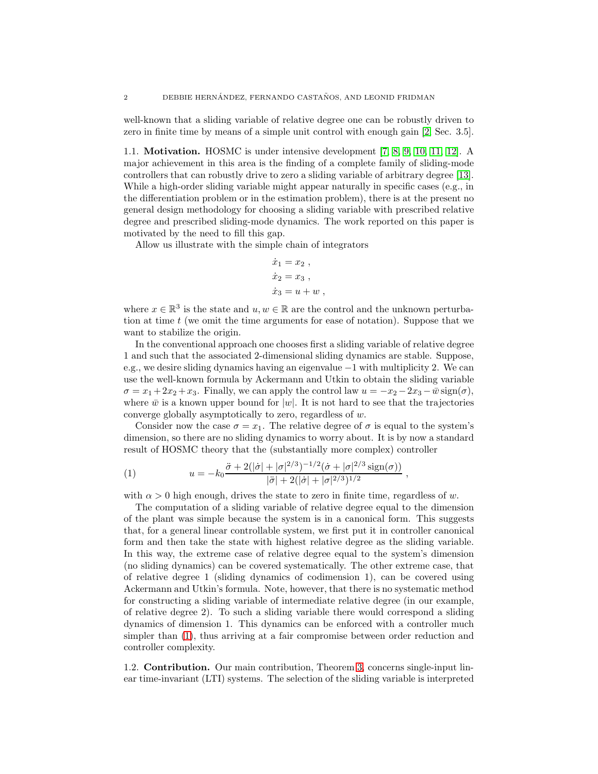well-known that a sliding variable of relative degree one can be robustly driven to zero in finite time by means of a simple unit control with enough gain [\[2,](#page-10-1) Sec. 3.5].

1.1. Motivation. HOSMC is under intensive development [\[7,](#page-10-6) [8,](#page-10-7) [9,](#page-10-8) [10,](#page-10-9) [11,](#page-10-10) [12\]](#page-10-11). A major achievement in this area is the finding of a complete family of sliding-mode controllers that can robustly drive to zero a sliding variable of arbitrary degree [\[13\]](#page-10-12). While a high-order sliding variable might appear naturally in specific cases (e.g., in the differentiation problem or in the estimation problem), there is at the present no general design methodology for choosing a sliding variable with prescribed relative degree and prescribed sliding-mode dynamics. The work reported on this paper is motivated by the need to fill this gap.

Allow us illustrate with the simple chain of integrators

$$
\dot{x}_1 = x_2 ,\n\dot{x}_2 = x_3 ,\n\dot{x}_3 = u + w ,
$$

where  $x \in \mathbb{R}^3$  is the state and  $u, w \in \mathbb{R}$  are the control and the unknown perturbation at time  $t$  (we omit the time arguments for ease of notation). Suppose that we want to stabilize the origin.

In the conventional approach one chooses first a sliding variable of relative degree 1 and such that the associated 2-dimensional sliding dynamics are stable. Suppose, e.g., we desire sliding dynamics having an eigenvalue −1 with multiplicity 2. We can use the well-known formula by Ackermann and Utkin to obtain the sliding variable  $\sigma = x_1 + 2x_2 + x_3$ . Finally, we can apply the control law  $u = -x_2 - 2x_3 - \bar{w} \operatorname{sign}(\sigma)$ , where  $\bar{w}$  is a known upper bound for  $|w|$ . It is not hard to see that the trajectories converge globally asymptotically to zero, regardless of w.

Consider now the case  $\sigma = x_1$ . The relative degree of  $\sigma$  is equal to the system's dimension, so there are no sliding dynamics to worry about. It is by now a standard result of HOSMC theory that the (substantially more complex) controller

<span id="page-1-0"></span>(1) 
$$
u = -k_0 \frac{\ddot{\sigma} + 2(|\dot{\sigma}| + |\sigma|^{2/3})^{-1/2}(\dot{\sigma} + |\sigma|^{2/3} \operatorname{sign}(\sigma))}{|\ddot{\sigma}| + 2(|\dot{\sigma}| + |\sigma|^{2/3})^{1/2}},
$$

with  $\alpha > 0$  high enough, drives the state to zero in finite time, regardless of w.

The computation of a sliding variable of relative degree equal to the dimension of the plant was simple because the system is in a canonical form. This suggests that, for a general linear controllable system, we first put it in controller canonical form and then take the state with highest relative degree as the sliding variable. In this way, the extreme case of relative degree equal to the system's dimension (no sliding dynamics) can be covered systematically. The other extreme case, that of relative degree 1 (sliding dynamics of codimension 1), can be covered using Ackermann and Utkin's formula. Note, however, that there is no systematic method for constructing a sliding variable of intermediate relative degree (in our example, of relative degree 2). To such a sliding variable there would correspond a sliding dynamics of dimension 1. This dynamics can be enforced with a controller much simpler than [\(1\)](#page-1-0), thus arriving at a fair compromise between order reduction and controller complexity.

1.2. Contribution. Our main contribution, Theorem [3,](#page-4-0) concerns single-input linear time-invariant (LTI) systems. The selection of the sliding variable is interpreted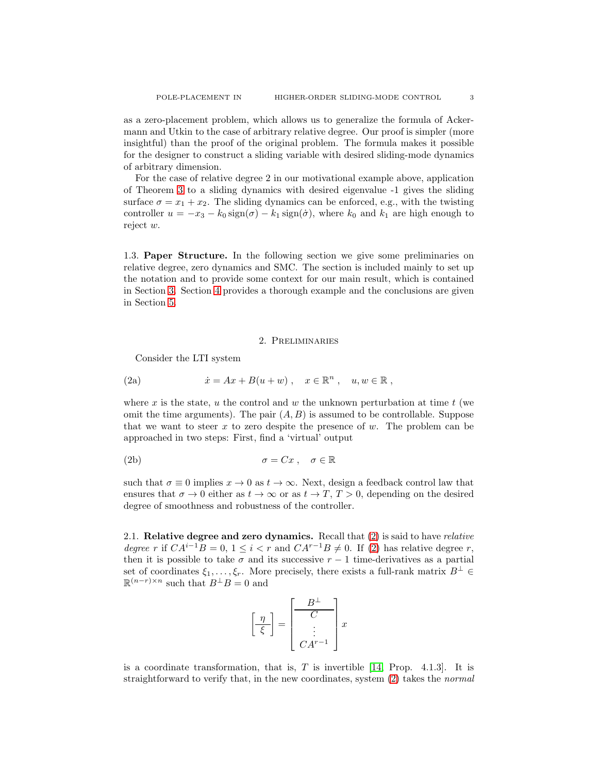as a zero-placement problem, which allows us to generalize the formula of Ackermann and Utkin to the case of arbitrary relative degree. Our proof is simpler (more insightful) than the proof of the original problem. The formula makes it possible for the designer to construct a sliding variable with desired sliding-mode dynamics of arbitrary dimension.

For the case of relative degree 2 in our motivational example above, application of Theorem [3](#page-4-0) to a sliding dynamics with desired eigenvalue -1 gives the sliding surface  $\sigma = x_1 + x_2$ . The sliding dynamics can be enforced, e.g., with the twisting controller  $u = -x_3 - k_0 \operatorname{sign}(\sigma) - k_1 \operatorname{sign}(\dot{\sigma})$ , where  $k_0$  and  $k_1$  are high enough to reject w.

1.3. Paper Structure. In the following section we give some preliminaries on relative degree, zero dynamics and SMC. The section is included mainly to set up the notation and to provide some context for our main result, which is contained in Section [3.](#page-4-1) Section [4](#page-5-0) provides a thorough example and the conclusions are given in Section [5.](#page-9-0)

## <span id="page-2-0"></span>2. Preliminaries

Consider the LTI system

(2a) 
$$
\dot{x} = Ax + B(u+w), \quad x \in \mathbb{R}^n, \quad u, w \in \mathbb{R},
$$

where x is the state, u the control and w the unknown perturbation at time  $t$  (we omit the time arguments). The pair  $(A, B)$  is assumed to be controllable. Suppose that we want to steer x to zero despite the presence of  $w$ . The problem can be approached in two steps: First, find a 'virtual' output

(2b) 
$$
\sigma = Cx, \quad \sigma \in \mathbb{R}
$$

such that  $\sigma \equiv 0$  implies  $x \to 0$  as  $t \to \infty$ . Next, design a feedback control law that ensures that  $\sigma \to 0$  either as  $t \to \infty$  or as  $t \to T$ ,  $T > 0$ , depending on the desired degree of smoothness and robustness of the controller.

2.1. Relative degree and zero dynamics. Recall that [\(2\)](#page-2-0) is said to have relative degree r if  $CA^{i-1}B = 0$ ,  $1 \leq i < r$  and  $CA^{r-1}B \neq 0$ . If [\(2\)](#page-2-0) has relative degree r, then it is possible to take  $\sigma$  and its successive  $r - 1$  time-derivatives as a partial set of coordinates  $\xi_1, \ldots, \xi_r$ . More precisely, there exists a full-rank matrix  $B^{\perp} \in$  $\mathbb{R}^{(n-r)\times n}$  such that  $B^{\perp}B=0$  and

$$
\left[\frac{\eta}{\xi}\right] = \left[\begin{array}{c} B^{\perp} \\ C \\ \vdots \\ CA^{r-1} \end{array}\right] x
$$

is a coordinate transformation, that is,  $T$  is invertible [\[14,](#page-10-13) Prop. 4.1.3]. It is straightforward to verify that, in the new coordinates, system  $(2)$  takes the *normal*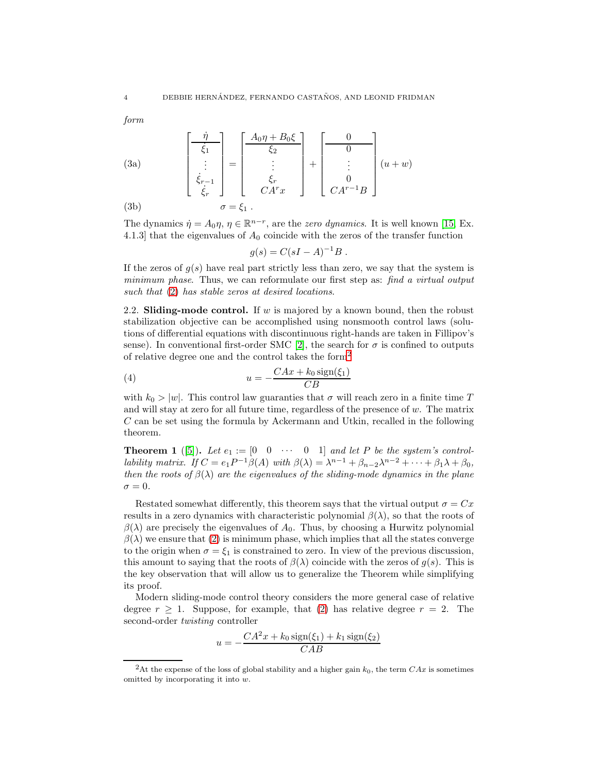form

(3a)
$$
\begin{bmatrix} \frac{\dot{\eta}}{\dot{\xi}_1} \\ \vdots \\ \dot{\xi}_{r-1} \\ \dot{\xi}_r \end{bmatrix} = \begin{bmatrix} \frac{A_0 \eta + B_0 \xi}{\xi_2} \\ \vdots \\ \frac{A_r}{\xi_r} \\ CA^r x \end{bmatrix} + \begin{bmatrix} 0 \\ 0 \\ \vdots \\ 0 \\ CA^{r-1} B \end{bmatrix} (u+w)
$$
(3b)
$$
\sigma = \xi_1.
$$

The dynamics  $\dot{\eta} = A_0 \eta$ ,  $\eta \in \mathbb{R}^{n-r}$ , are the *zero dynamics*. It is well known [\[15,](#page-10-14) Ex. 4.1.3] that the eigenvalues of  $A_0$  coincide with the zeros of the transfer function

$$
g(s) = C(sI - A)^{-1}B.
$$

If the zeros of  $q(s)$  have real part strictly less than zero, we say that the system is minimum phase. Thus, we can reformulate our first step as: find a virtual output such that [\(2\)](#page-2-0) has stable zeros at desired locations.

2.2. Sliding-mode control. If w is majored by a known bound, then the robust stabilization objective can be accomplished using nonsmooth control laws (solutions of differential equations with discontinuous right-hands are taken in Fillipov's sense). In conventional first-order SMC [\[2\]](#page-10-1), the search for  $\sigma$  is confined to outputs of relative degree one and the control takes the form[2](#page-3-0)

<span id="page-3-2"></span>(4) 
$$
u = -\frac{CAx + k_0 \operatorname{sign}(\xi_1)}{CB}
$$

with  $k_0 > |w|$ . This control law guaranties that  $\sigma$  will reach zero in a finite time T and will stay at zero for all future time, regardless of the presence of  $w$ . The matrix C can be set using the formula by Ackermann and Utkin, recalled in the following theorem.

<span id="page-3-1"></span>**Theorem 1** ([\[5\]](#page-10-3)). Let  $e_1 := \begin{bmatrix} 0 & 0 & \cdots & 0 & 1 \end{bmatrix}$  and let P be the system's controllability matrix. If  $C = e_1 P^{-1} \beta(A)$  with  $\beta(\lambda) = \lambda^{n-1} + \beta_{n-2} \lambda^{n-2} + \cdots + \beta_1 \lambda + \beta_0$ , then the roots of  $\beta(\lambda)$  are the eigenvalues of the sliding-mode dynamics in the plane  $\sigma = 0$ .

Restated somewhat differently, this theorem says that the virtual output  $\sigma = Cx$ results in a zero dynamics with characteristic polynomial  $\beta(\lambda)$ , so that the roots of  $\beta(\lambda)$  are precisely the eigenvalues of  $A_0$ . Thus, by choosing a Hurwitz polynomial  $\beta(\lambda)$  we ensure that [\(2\)](#page-2-0) is minimum phase, which implies that all the states converge to the origin when  $\sigma = \xi_1$  is constrained to zero. In view of the previous discussion, this amount to saying that the roots of  $\beta(\lambda)$  coincide with the zeros of  $g(s)$ . This is the key observation that will allow us to generalize the Theorem while simplifying its proof.

Modern sliding-mode control theory considers the more general case of relative degree  $r \geq 1$ . Suppose, for example, that [\(2\)](#page-2-0) has relative degree  $r = 2$ . The second-order twisting controller

$$
u = -\frac{CA^2x + k_0\operatorname{sign}(\xi_1) + k_1\operatorname{sign}(\xi_2)}{CAB}
$$

<span id="page-3-0"></span><sup>&</sup>lt;sup>2</sup>At the expense of the loss of global stability and a higher gain  $k_0$ , the term  $C Ax$  is sometimes omitted by incorporating it into w.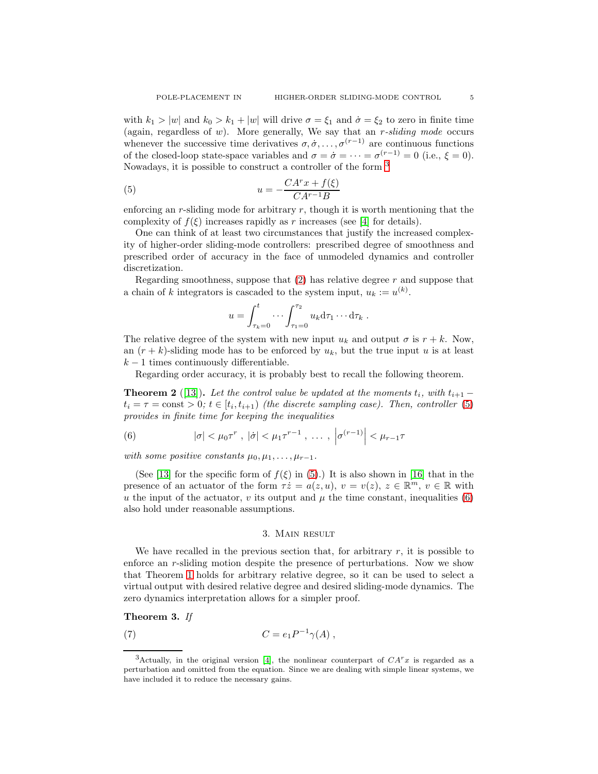with  $k_1 > |w|$  and  $k_0 > k_1 + |w|$  will drive  $\sigma = \xi_1$  and  $\dot{\sigma} = \xi_2$  to zero in finite time (again, regardless of  $w$ ). More generally, We say that an  $r$ -sliding mode occurs whenever the successive time derivatives  $\sigma, \dot{\sigma}, \dots, \sigma^{(r-1)}$  are continuous functions of the closed-loop state-space variables and  $\sigma = \dot{\sigma} = \cdots = \sigma^{(r-1)} = 0$  (i.e.,  $\xi = 0$ ). Nowadays, it is possible to construct a controller of the form [3](#page-4-2)

(5) 
$$
u = -\frac{CATx + f(\xi)}{CAT^{-1}B}
$$

enforcing an r-sliding mode for arbitrary  $r$ , though it is worth mentioning that the complexity of  $f(\xi)$  increases rapidly as r increases (see [\[4\]](#page-10-2) for details).

One can think of at least two circumstances that justify the increased complexity of higher-order sliding-mode controllers: prescribed degree of smoothness and prescribed order of accuracy in the face of unmodeled dynamics and controller discretization.

Regarding smoothness, suppose that  $(2)$  has relative degree r and suppose that a chain of k integrators is cascaded to the system input,  $u_k := u^{(k)}$ .

<span id="page-4-3"></span>
$$
u = \int_{\tau_k=0}^t \cdots \int_{\tau_1=0}^{\tau_2} u_k d\tau_1 \cdots d\tau_k.
$$

The relative degree of the system with new input  $u_k$  and output  $\sigma$  is  $r + k$ . Now, an  $(r + k)$ -sliding mode has to be enforced by  $u_k$ , but the true input u is at least  $k-1$  times continuously differentiable.

Regarding order accuracy, it is probably best to recall the following theorem.

**Theorem 2** ([\[13\]](#page-10-12)). Let the control value be updated at the moments  $t_i$ , with  $t_{i+1}$  –  $t_i = \tau = \text{const} > 0; t \in [t_i, t_{i+1})$  (the discrete sampling case). Then, controller [\(5\)](#page-4-3) provides in finite time for keeping the inequalities

<span id="page-4-4"></span>(6) 
$$
|\sigma| < \mu_0 \tau^r, \ |\dot{\sigma}| < \mu_1 \tau^{r-1}, \ \ldots, \ |\sigma^{(r-1)}| < \mu_{r-1} \tau
$$

with some positive constants  $\mu_0, \mu_1, \ldots, \mu_{r-1}$ .

(See [\[13\]](#page-10-12) for the specific form of  $f(\xi)$  in [\(5\)](#page-4-3).) It is also shown in [\[16\]](#page-10-15) that in the presence of an actuator of the form  $\tau \dot{z} = a(z, u), v = v(z), z \in \mathbb{R}^m, v \in \mathbb{R}$  with u the input of the actuator, v its output and  $\mu$  the time constant, inequalities [\(6\)](#page-4-4) also hold under reasonable assumptions.

### <span id="page-4-5"></span>3. Main result

<span id="page-4-1"></span>We have recalled in the previous section that, for arbitrary  $r$ , it is possible to enforce an r-sliding motion despite the presence of perturbations. Now we show that Theorem [1](#page-3-1) holds for arbitrary relative degree, so it can be used to select a virtual output with desired relative degree and desired sliding-mode dynamics. The zero dynamics interpretation allows for a simpler proof.

## <span id="page-4-0"></span>Theorem 3. If

(7) 
$$
C = e_1 P^{-1} \gamma(A) ,
$$

<span id="page-4-2"></span><sup>&</sup>lt;sup>3</sup>Actually, in the original version [\[4\]](#page-10-2), the nonlinear counterpart of  $CATx$  is regarded as a perturbation and omitted from the equation. Since we are dealing with simple linear systems, we have included it to reduce the necessary gains.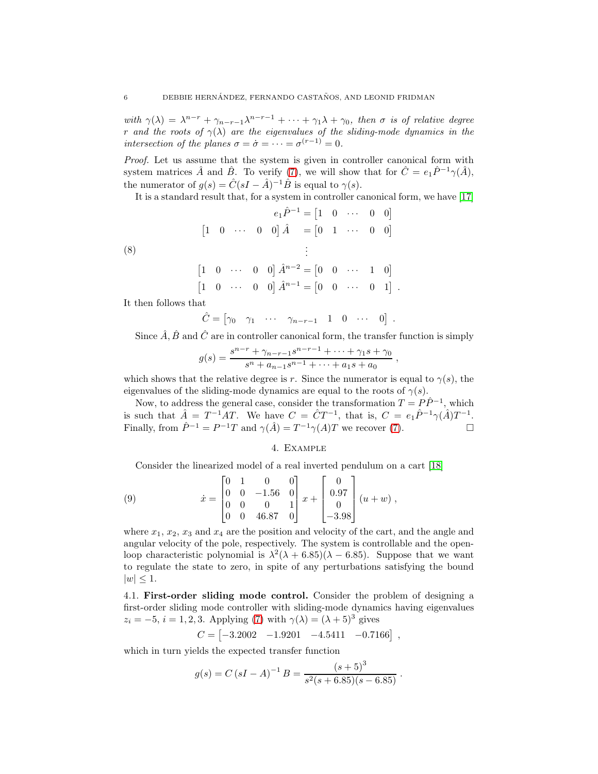with  $\gamma(\lambda) = \lambda^{n-r} + \gamma_{n-r-1}\lambda^{n-r-1} + \cdots + \gamma_1\lambda + \gamma_0$ , then  $\sigma$  is of relative degree r and the roots of  $\gamma(\lambda)$  are the eigenvalues of the sliding-mode dynamics in the intersection of the planes  $\sigma = \dot{\sigma} = \cdots = \sigma^{(r-1)} = 0$ .

Proof. Let us assume that the system is given in controller canonical form with system matrices  $\hat{A}$  and  $\hat{B}$ . To verify [\(7\)](#page-4-5), we will show that for  $\hat{C} = e_1 \hat{P}^{-1} \gamma(\hat{A})$ , the numerator of  $g(s) = \hat{C}(sI - \hat{A})^{-1}\hat{B}$  is equal to  $\gamma(s)$ .

It is a standard result that, for a system in controller canonical form, we have [\[17\]](#page-10-16)

(8)  
\n
$$
e_1 \hat{P}^{-1} = \begin{bmatrix} 1 & 0 & \cdots & 0 & 0 \end{bmatrix}
$$
\n
$$
\begin{bmatrix} 1 & 0 & \cdots & 0 & 0 \end{bmatrix} \hat{A} = \begin{bmatrix} 0 & 1 & \cdots & 0 & 0 \end{bmatrix}
$$
\n
$$
\begin{bmatrix} 1 & 0 & \cdots & 0 & 0 \end{bmatrix} \hat{A}^{n-2} = \begin{bmatrix} 0 & 0 & \cdots & 1 & 0 \end{bmatrix}
$$
\n
$$
\begin{bmatrix} 1 & 0 & \cdots & 0 & 0 \end{bmatrix} \hat{A}^{n-1} = \begin{bmatrix} 0 & 0 & \cdots & 0 & 1 \end{bmatrix}.
$$

It then follows that

$$
\hat{C} = \begin{bmatrix} \gamma_0 & \gamma_1 & \cdots & \gamma_{n-r-1} & 1 & 0 & \cdots & 0 \end{bmatrix}.
$$

Since  $\hat{A}$ ,  $\hat{B}$  and  $\hat{C}$  are in controller canonical form, the transfer function is simply

,

$$
g(s) = \frac{s^{n-r} + \gamma_{n-r-1} s^{n-r-1} + \dots + \gamma_1 s + \gamma_0}{s^n + a_{n-1} s^{n-1} + \dots + a_1 s + a_0}
$$

which shows that the relative degree is r. Since the numerator is equal to  $\gamma(s)$ , the eigenvalues of the sliding-mode dynamics are equal to the roots of  $\gamma(s)$ .

Now, to address the general case, consider the transformation  $T = P\hat{P}^{-1}$ , which is such that  $\hat{A} = T^{-1}AT$ . We have  $C = \hat{C}T^{-1}$ , that is,  $C = e_1 \hat{P}^{-1} \gamma(\hat{A}) T^{-1}$ . Finally, from  $\hat{P}^{-1} = P^{-1}T$  and  $\gamma(\hat{A}) = T^{-1}\gamma(A)T$  we recover [\(7\)](#page-4-5).

#### 4. Example

<span id="page-5-0"></span>Consider the linearized model of a real inverted pendulum on a cart [\[18\]](#page-10-17)

(9) 
$$
\dot{x} = \begin{bmatrix} 0 & 1 & 0 & 0 \\ 0 & 0 & -1.56 & 0 \\ 0 & 0 & 0 & 1 \\ 0 & 0 & 46.87 & 0 \end{bmatrix} x + \begin{bmatrix} 0 \\ 0.97 \\ 0 \\ -3.98 \end{bmatrix} (u+w) ,
$$

where  $x_1, x_2, x_3$  and  $x_4$  are the position and velocity of the cart, and the angle and angular velocity of the pole, respectively. The system is controllable and the openloop characteristic polynomial is  $\lambda^2(\lambda + 6.85)(\lambda - 6.85)$ . Suppose that we want to regulate the state to zero, in spite of any perturbations satisfying the bound  $|w| \leq 1$ .

4.1. First-order sliding mode control. Consider the problem of designing a first-order sliding mode controller with sliding-mode dynamics having eigenvalues  $z_i = -5$ ,  $i = 1, 2, 3$ . Applying [\(7\)](#page-4-5) with  $\gamma(\lambda) = (\lambda + 5)^3$  gives

$$
C = \begin{bmatrix} -3.2002 & -1.9201 & -4.5411 & -0.7166 \end{bmatrix},
$$

which in turn yields the expected transfer function

$$
g(s) = C (sI - A)^{-1} B = \frac{(s+5)^3}{s^2(s+6.85)(s-6.85)}.
$$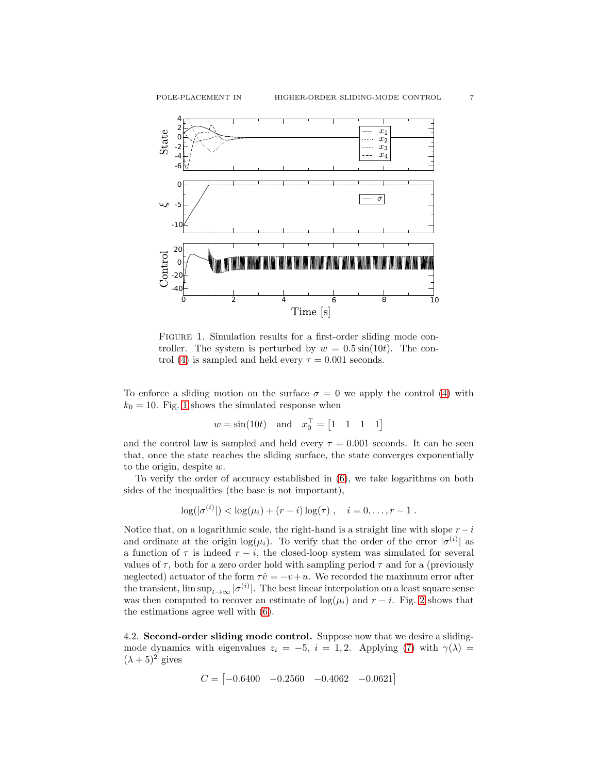

<span id="page-6-0"></span>FIGURE 1. Simulation results for a first-order sliding mode controller. The system is perturbed by  $w = 0.5 \sin(10t)$ . The con-trol [\(4\)](#page-3-2) is sampled and held every  $\tau = 0.001$  seconds.

To enforce a sliding motion on the surface  $\sigma = 0$  we apply the control [\(4\)](#page-3-2) with  $k_0 = 10$  $k_0 = 10$  $k_0 = 10$ . Fig. 1 shows the simulated response when

$$
w = \sin(10t) \quad \text{and} \quad x_0^\top = \begin{bmatrix} 1 & 1 & 1 & 1 \end{bmatrix}
$$

and the control law is sampled and held every  $\tau = 0.001$  seconds. It can be seen that, once the state reaches the sliding surface, the state converges exponentially to the origin, despite w.

To verify the order of accuracy established in [\(6\)](#page-4-4), we take logarithms on both sides of the inequalities (the base is not important),

$$
\log(|\sigma^{(i)}|) < \log(\mu_i) + (r - i)\log(\tau), \quad i = 0, \ldots, r - 1.
$$

Notice that, on a logarithmic scale, the right-hand is a straight line with slope  $r - i$ and ordinate at the origin  $log(\mu_i)$ . To verify that the order of the error  $|\sigma^{(i)}|$  as a function of  $\tau$  is indeed  $r - i$ , the closed-loop system was simulated for several values of  $\tau$ , both for a zero order hold with sampling period  $\tau$  and for a (previously neglected) actuator of the form  $\tau \dot{v} = -v+u$ . We recorded the maximum error after the transient,  $\limsup_{t\to\infty} |\sigma^{(i)}|$ . The best linear interpolation on a least square sense was then computed to recover an estimate of  $log(\mu_i)$  and  $r - i$ . Fig. [2](#page-7-0) shows that the estimations agree well with [\(6\)](#page-4-4).

4.2. Second-order sliding mode control. Suppose now that we desire a slidingmode dynamics with eigenvalues  $z_i = -5$ ,  $i = 1, 2$ . Applying [\(7\)](#page-4-5) with  $\gamma(\lambda) =$  $(\lambda + 5)^2$  gives

$$
C = |-0.6400 -0.2560 -0.4062 -0.0621|
$$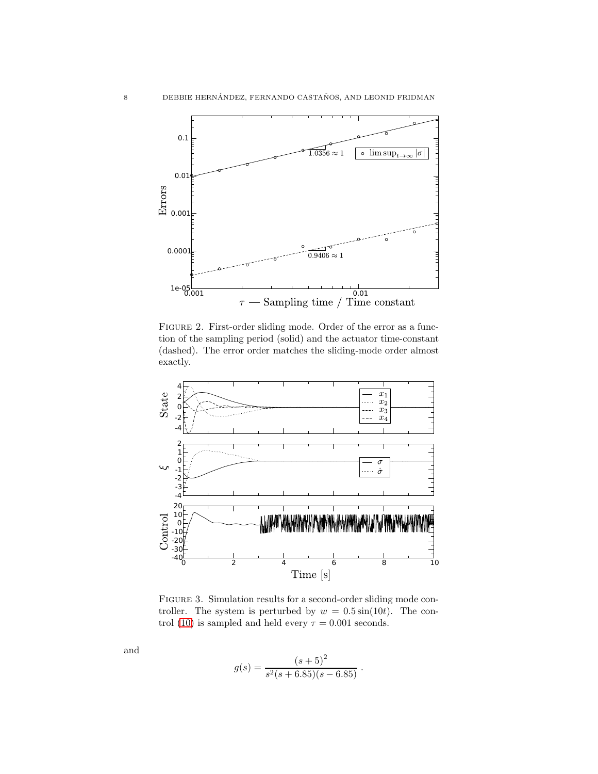

<span id="page-7-0"></span>FIGURE 2. First-order sliding mode. Order of the error as a function of the sampling period (solid) and the actuator time-constant (dashed). The error order matches the sliding-mode order almost exactly.



<span id="page-7-1"></span>FIGURE 3. Simulation results for a second-order sliding mode controller. The system is perturbed by  $w = 0.5 \sin(10t)$ . The con-trol [\(10\)](#page-8-0) is sampled and held every  $\tau = 0.001$  seconds.

and

$$
g(s) = \frac{(s+5)^2}{s^2(s+6.85)(s-6.85)}.
$$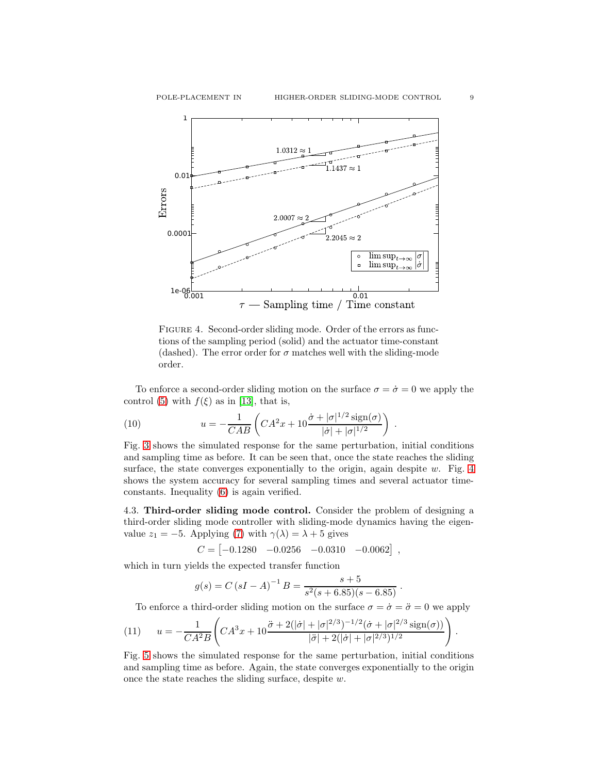

<span id="page-8-1"></span>FIGURE 4. Second-order sliding mode. Order of the errors as functions of the sampling period (solid) and the actuator time-constant (dashed). The error order for  $\sigma$  matches well with the sliding-mode order.

To enforce a second-order sliding motion on the surface  $\sigma = \dot{\sigma} = 0$  we apply the control [\(5\)](#page-4-3) with  $f(\xi)$  as in [\[13\]](#page-10-12), that is,

.

<span id="page-8-0"></span>(10) 
$$
u = -\frac{1}{CAB} \left( C A^2 x + 10 \frac{\dot{\sigma} + |\sigma|^{1/2} \operatorname{sign}(\sigma)}{|\dot{\sigma}| + |\sigma|^{1/2}} \right)
$$

Fig. [3](#page-7-1) shows the simulated response for the same perturbation, initial conditions and sampling time as before. It can be seen that, once the state reaches the sliding surface, the state converges exponentially to the origin, again despite  $w$ . Fig. [4](#page-8-1) shows the system accuracy for several sampling times and several actuator timeconstants. Inequality [\(6\)](#page-4-4) is again verified.

4.3. Third-order sliding mode control. Consider the problem of designing a third-order sliding mode controller with sliding-mode dynamics having the eigenvalue  $z_1 = -5$ . Applying [\(7\)](#page-4-5) with  $\gamma(\lambda) = \lambda + 5$  gives

$$
C = \begin{bmatrix} -0.1280 & -0.0256 & -0.0310 & -0.0062 \end{bmatrix},
$$

which in turn yields the expected transfer function

$$
g(s) = C (sI - A)^{-1} B = \frac{s + 5}{s^2(s + 6.85)(s - 6.85)}.
$$

<span id="page-8-2"></span>To enforce a third-order sliding motion on the surface  $\sigma = \dot{\sigma} = \ddot{\sigma} = 0$  we apply

(11) 
$$
u = -\frac{1}{CA^2B} \left( CA^3x + 10 \frac{\ddot{\sigma} + 2(|\dot{\sigma}| + |\sigma|^{2/3})^{-1/2} (\dot{\sigma} + |\sigma|^{2/3} \operatorname{sign}(\sigma))}{|\ddot{\sigma}| + 2(|\dot{\sigma}| + |\sigma|^{2/3})^{1/2}} \right).
$$

Fig. [5](#page-9-1) shows the simulated response for the same perturbation, initial conditions and sampling time as before. Again, the state converges exponentially to the origin once the state reaches the sliding surface, despite w.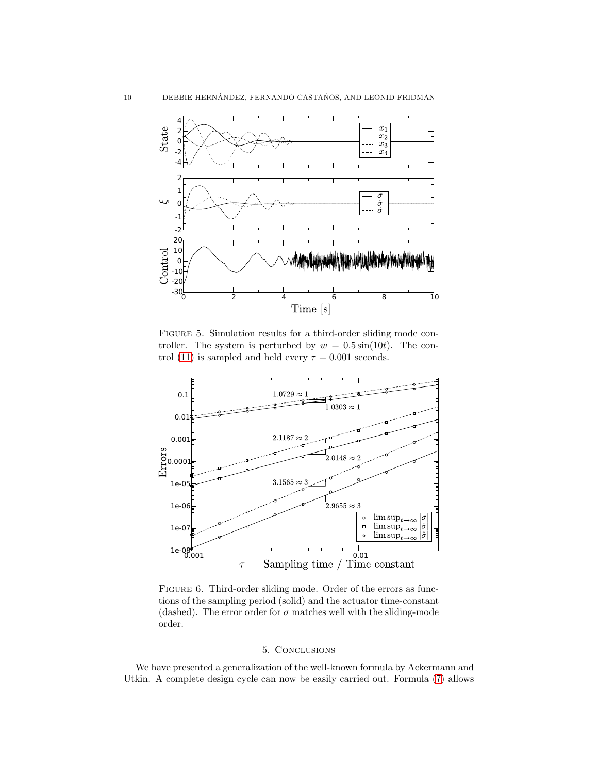

<span id="page-9-1"></span>FIGURE 5. Simulation results for a third-order sliding mode controller. The system is perturbed by  $w = 0.5 \sin(10t)$ . The con-trol [\(11\)](#page-8-2) is sampled and held every  $\tau = 0.001$  seconds.



FIGURE 6. Third-order sliding mode. Order of the errors as functions of the sampling period (solid) and the actuator time-constant (dashed). The error order for  $\sigma$  matches well with the sliding-mode order.

## 5. Conclusions

<span id="page-9-0"></span>We have presented a generalization of the well-known formula by Ackermann and Utkin. A complete design cycle can now be easily carried out. Formula [\(7\)](#page-4-5) allows